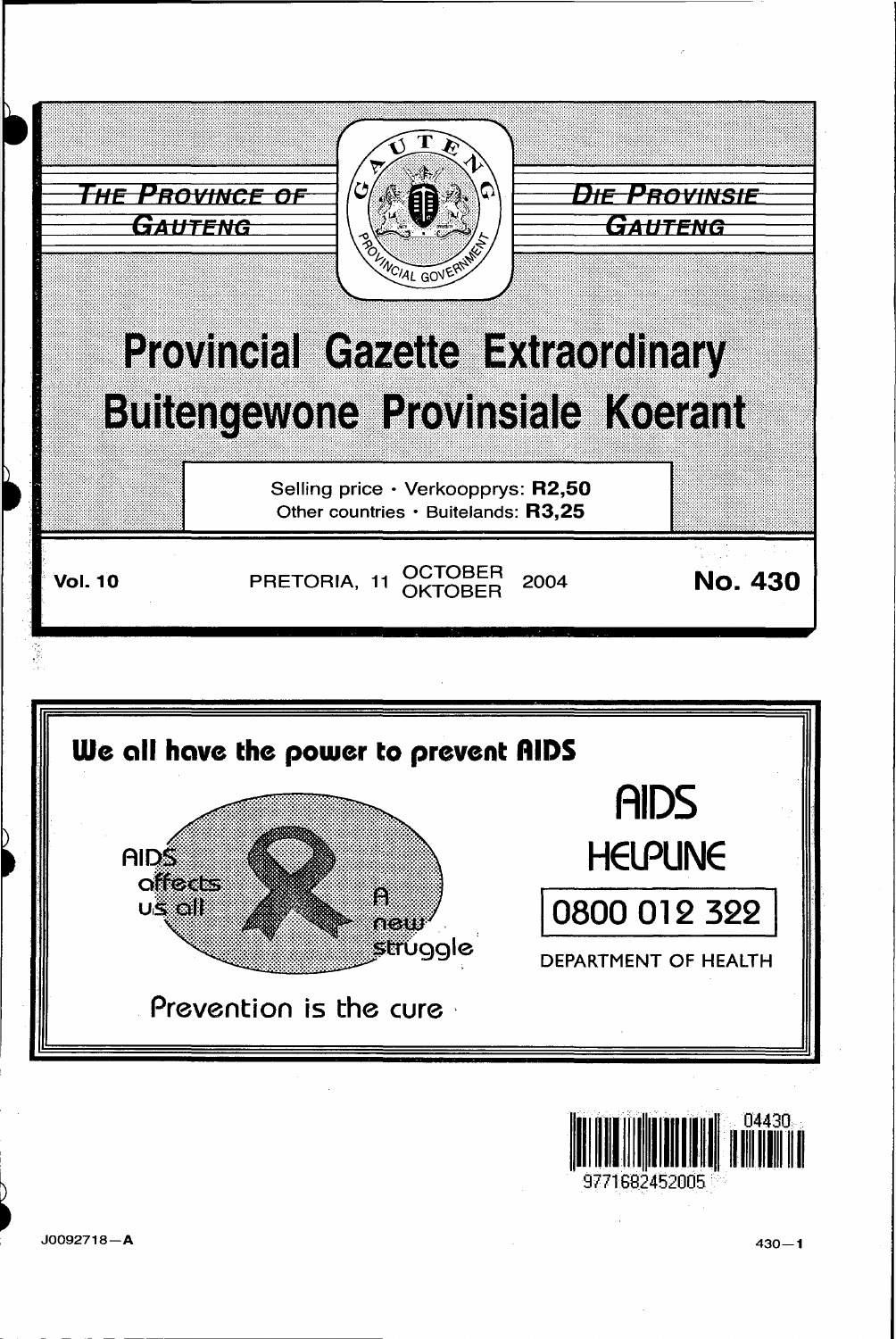





J0092718-A